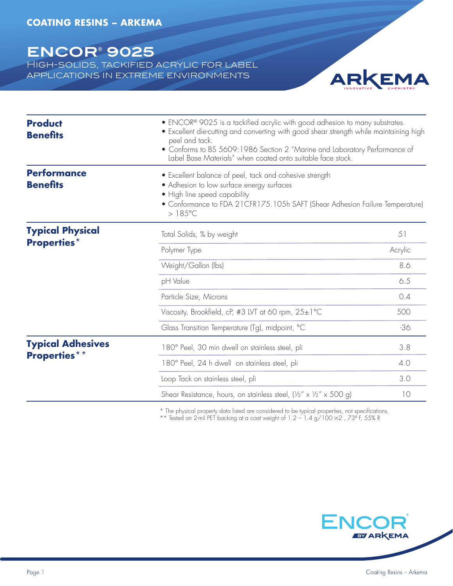## **ENCOR® 9025**

HIGH-SOLIDS, TACKIFIED ACRYLIC FOR LABEL applications in extreme environments



| <b>Product</b><br><b>Benefits</b>                | • ENCOR <sup>®</sup> 9025 is a tackified acrylic with good adhesion to many substrates.<br>• Excellent die-cutting and converting with good shear strength while maintaining high<br>peel and tack.<br>• Conforms to BS 5609:1986 Section 2 "Marine and Laboratory Performance of<br>Label Base Materials" when coated onto suitable face stock. |         |
|--------------------------------------------------|--------------------------------------------------------------------------------------------------------------------------------------------------------------------------------------------------------------------------------------------------------------------------------------------------------------------------------------------------|---------|
| <b>Performance</b><br><b>Benefits</b>            | • Excellent balance of peel, tack and cohesive strength<br>• Adhesion to low surface energy surfaces<br>• High line speed capability<br>• Conformance to FDA 21CFR175.105h SAFT (Shear Adhesion Failure Temperature)<br>$>185^{\circ}$ C                                                                                                         |         |
| <b>Typical Physical</b><br><b>Properties*</b>    | Total Solids, % by weight                                                                                                                                                                                                                                                                                                                        | 51      |
|                                                  | Polymer Type                                                                                                                                                                                                                                                                                                                                     | Acrylic |
|                                                  | Weight/Gallon (lbs)                                                                                                                                                                                                                                                                                                                              | 8.6     |
|                                                  | pH Value                                                                                                                                                                                                                                                                                                                                         | 6.5     |
|                                                  | Particle Size, Microns                                                                                                                                                                                                                                                                                                                           | 0.4     |
|                                                  | Viscosity, Brookfield, cP, #3 LVT at 60 rpm, 25±1°C                                                                                                                                                                                                                                                                                              | 500     |
|                                                  | Glass Transition Temperature (Tg), midpoint, °C                                                                                                                                                                                                                                                                                                  | $-36$   |
| <b>Typical Adhesives</b><br><b>Properties</b> ** | 180° Peel, 30 min dwell on stainless steel, pli                                                                                                                                                                                                                                                                                                  | 3.8     |
|                                                  | 180° Peel, 24 h dwell on stainless steel, pli                                                                                                                                                                                                                                                                                                    | 4.0     |
|                                                  | Loop Tack on stainless steel, pli                                                                                                                                                                                                                                                                                                                | 3.0     |
|                                                  | Shear Resistance, hours, on stainless steel, $\left[\frac{1}{2}x \times \frac{1}{2}x + \frac{1}{2}x\right]$                                                                                                                                                                                                                                      | 10      |

\* The physical property data listed are considered to be typical properties, not specifications.

\*\* Tested on 2-mil PET backing at a coat weight of  $1.2 - 1.4$  g/100 in2 ,  $73^{\circ}$  F, 55% R

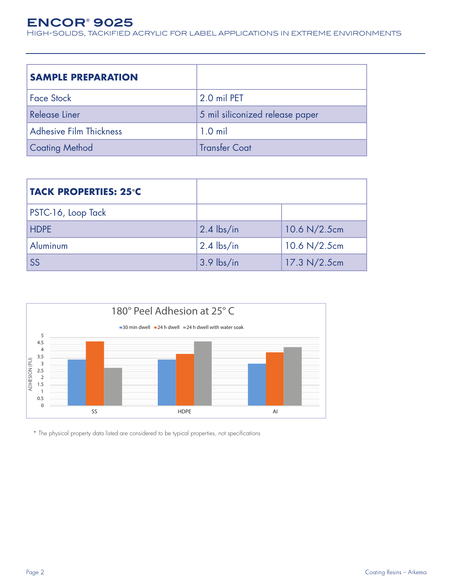## **ENCOR® 9025**

HIGH-SOLIDS, TACKIFIED ACRYLIC FOR LABEL APPLICATIONS IN EXTREME ENVIRONMENTS

| <b>SAMPLE PREPARATION</b>      |                                 |  |
|--------------------------------|---------------------------------|--|
| <b>Face Stock</b>              | 2.0 mil PET                     |  |
| <b>Release Liner</b>           | 5 mil siliconized release paper |  |
| <b>Adhesive Film Thickness</b> | $1.0$ mil                       |  |
| <b>Coating Method</b>          | <b>Transfer Coat</b>            |  |

| <b>TACK PROPERTIES: 25°C</b> |              |                 |
|------------------------------|--------------|-----------------|
| PSTC-16, Loop Tack           |              |                 |
| <b>HDPE</b>                  | $2.4$ lbs/in | 10.6 $N/2.5$ cm |
| Aluminum                     | $2.4$ lbs/in | 10.6 $N/2.5cm$  |
| <b>SS</b>                    | $3.9$ lbs/in | 17.3 N/2.5cm    |



\* The physical property data listed are considered to be typical properties, not specifications